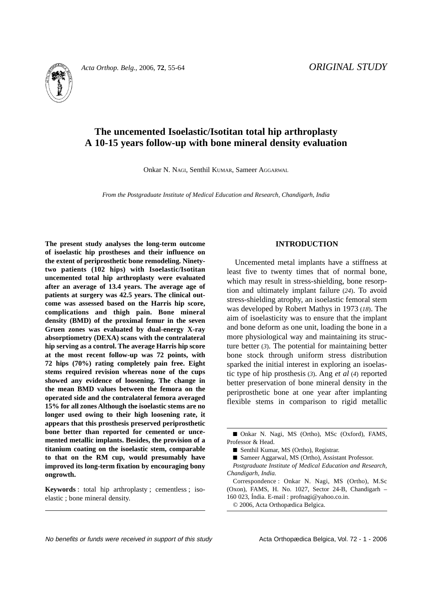# **The uncemented Isoelastic/Isotitan total hip arthroplasty A 10-15 years follow-up with bone mineral density evaluation**

Onkar N. NAGI, Senthil KUMAR, Sameer AGGARWAL

*From the Postgraduate Institute of Medical Education and Research, Chandigarh, India*

**The present study analyses the long-term outcome of isoelastic hip prostheses and their influence on the extent of periprosthetic bone remodeling. Ninetytwo patients (102 hips) with Isoelastic/Isotitan uncemented total hip arthroplasty were evaluated after an average of 13.4 years. The average age of patients at surgery was 42.5 years. The clinical outcome was assessed based on the Harris hip score, complications and thigh pain. Bone mineral density (BMD) of the proximal femur in the seven Gruen zones was evaluated by dual-energy X-ray absorptiometry (DEXA) scans with the contralateral hip serving as a control. The average Harris hip score at the most recent follow-up was 72 points, with 72 hips (70%) rating completely pain free. Eight stems required revision whereas none of the cups showed any evidence of loosening. The change in the mean BMD values between the femora on the operated side and the contralateral femora averaged 15% for all zones Although the isoelastic stems are no longer used owing to their high loosening rate, it appears that this prosthesis preserved periprosthetic bone better than reported for cemented or uncemented metallic implants. Besides, the provision of a titanium coating on the isoelastic stem, comparable to that on the RM cup, would presumably have improved its long-term fixation by encouraging bony ongrowth.**

**Keywords** : total hip arthroplasty ; cementless ; isoelastic ; bone mineral density.

## **INTRODUCTION**

Uncemented metal implants have a stiffness at least five to twenty times that of normal bone, which may result in stress-shielding, bone resorption and ultimately implant failure (*24*). To avoid stress-shielding atrophy, an isoelastic femoral stem was developed by Robert Mathys in 1973 (*18*). The aim of isoelasticity was to ensure that the implant and bone deform as one unit, loading the bone in a more physiological way and maintaining its structure better (*3*). The potential for maintaining better bone stock through uniform stress distribution sparked the initial interest in exploring an isoelastic type of hip prosthesis (*3*). Ang *et al* (*4*) reported better preservation of bone mineral density in the periprosthetic bone at one year after implanting flexible stems in comparison to rigid metallic

No benefits or funds were received in support of this study example Acta Orthopædica Belgica, Vol. 72 - 1 - 2006

<sup>■</sup> Onkar N. Nagi, MS (Ortho), MSc (Oxford), FAMS, Professor & Head.

<sup>■</sup> Senthil Kumar, MS (Ortho), Registrar.

<sup>■</sup> Sameer Aggarwal, MS (Ortho), Assistant Professor.

*Postgraduate Institute of Medical Education and Research, Chandigarh, India.*

Correspondence : Onkar N. Nagi, MS (Ortho), M.Sc (Oxon), FAMS, H. No. 1027, Sector 24-B, Chandigarh – 160 023, Índia. E-mail : profnagi@yahoo.co.in.

<sup>© 2006,</sup> Acta Orthopædica Belgica.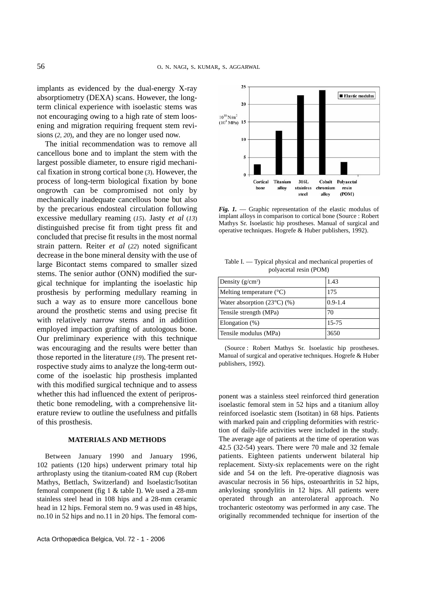implants as evidenced by the dual-energy X-ray absorptiometry (DEXA) scans. However, the longterm clinical experience with isoelastic stems was not encouraging owing to a high rate of stem loosening and migration requiring frequent stem revisions (*2, 20*), and they are no longer used now.

The initial recommendation was to remove all cancellous bone and to implant the stem with the largest possible diameter, to ensure rigid mechanical fixation in strong cortical bone (*3*). However, the process of long-term biological fixation by bone ongrowth can be compromised not only by mechanically inadequate cancellous bone but also by the precarious endosteal circulation following excessive medullary reaming (*15*). Jasty *et al* (*13*) distinguished precise fit from tight press fit and concluded that precise fit results in the most normal strain pattern. Reiter *et al* (*22*) noted significant decrease in the bone mineral density with the use of large Bicontact stems compared to smaller sized stems. The senior author (ONN) modified the surgical technique for implanting the isoelastic hip prosthesis by performing medullary reaming in such a way as to ensure more cancellous bone around the prosthetic stems and using precise fit with relatively narrow stems and in addition employed impaction grafting of autologous bone. Our preliminary experience with this technique was encouraging and the results were better than those reported in the literature (*19*). The present retrospective study aims to analyze the long-term outcome of the isoelastic hip prosthesis implanted with this modified surgical technique and to assess whether this had influenced the extent of periprosthetic bone remodeling, with a comprehensive literature review to outline the usefulness and pitfalls of this prosthesis.

## **MATERIALS AND METHODS**

Between January 1990 and January 1996, 102 patients (120 hips) underwent primary total hip arthroplasty using the titanium-coated RM cup (Robert Mathys, Bettlach, Switzerland) and Isoelastic/Isotitan femoral component (fig 1 & table I). We used a 28-mm stainless steel head in 108 hips and a 28-mm ceramic head in 12 hips. Femoral stem no. 9 was used in 48 hips, no.10 in 52 hips and no.11 in 20 hips. The femoral com-



*Fig. 1.* — Graphic representation of the elastic modulus of implant alloys in comparison to cortical bone (Source : Robert Mathys Sr. Isoelastic hip prostheses. Manual of surgical and operative techniques. Hogrefe & Huber publishers, 1992).

| Density $(g/cm^3)$                   | 1.43        |
|--------------------------------------|-------------|
| Melting temperature $(^{\circ}C)$    | 175         |
| Water absorption $(23^{\circ}C)(\%)$ | $0.9 - 1.4$ |
| Tensile strength (MPa)               | 70          |
| Elongation $(\%)$                    | $15 - 75$   |
| Tensile modulus (MPa)                | 3650        |

Table I. — Typical physical and mechanical properties of polyacetal resin (POM)

(Source : Robert Mathys Sr. Isoelastic hip prostheses. Manual of surgical and operative techniques. Hogrefe & Huber publishers, 1992).

ponent was a stainless steel reinforced third generation isoelastic femoral stem in 52 hips and a titanium alloy reinforced isoelastic stem (Isotitan) in 68 hips. Patients with marked pain and crippling deformities with restriction of daily-life activities were included in the study. The average age of patients at the time of operation was 42.5 (32-54) years. There were 70 male and 32 female patients. Eighteen patients underwent bilateral hip replacement. Sixty-six replacements were on the right side and 54 on the left. Pre-operative diagnosis was avascular necrosis in 56 hips, osteoarthritis in 52 hips, ankylosing spondylitis in 12 hips. All patients were operated through an anterolateral approach. No trochanteric osteotomy was performed in any case. The originally recommended technique for insertion of the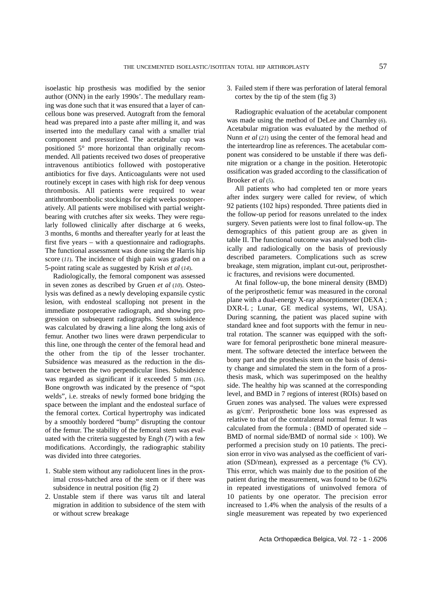isoelastic hip prosthesis was modified by the senior author (ONN) in the early 1990s'. The medullary reaming was done such that it was ensured that a layer of cancellous bone was preserved. Autograft from the femoral head was prepared into a paste after milling it, and was inserted into the medullary canal with a smaller trial component and pressurized. The acetabular cup was positioned 5° more horizontal than originally recommended. All patients received two doses of preoperative intravenous antibiotics followed with postoperative antibiotics for five days. Anticoagulants were not used routinely except in cases with high risk for deep venous thrombosis. All patients were required to wear antithromboembolic stockings for eight weeks postoperatively. All patients were mobilised with partial weightbearing with crutches after six weeks. They were regularly followed clinically after discharge at 6 weeks, 3 months, 6 months and thereafter yearly for at least the first five years – with a questionnaire and radiographs. The functional assessment was done using the Harris hip score (*11*). The incidence of thigh pain was graded on a 5-point rating scale as suggested by Krish *et al* (*14*).

Radiologically, the femoral component was assessed in seven zones as described by Gruen *et al* (*10*). Osteolysis was defined as a newly developing expansile cystic lesion, with endosteal scalloping not present in the immediate postoperative radiograph, and showing progression on subsequent radiographs. Stem subsidence was calculated by drawing a line along the long axis of femur. Another two lines were drawn perpendicular to this line, one through the center of the femoral head and the other from the tip of the lesser trochanter. Subsidence was measured as the reduction in the distance between the two perpendicular lines. Subsidence was regarded as significant if it exceeded 5 mm (*16*). Bone ongrowth was indicated by the presence of "spot welds", i.e. streaks of newly formed bone bridging the space between the implant and the endosteal surface of the femoral cortex. Cortical hypertrophy was indicated by a smoothly bordered "bump" disrupting the contour of the femur. The stability of the femoral stem was evaluated with the criteria suggested by Engh (*7*) with a few modifications. Accordingly, the radiographic stability was divided into three categories.

- 1. Stable stem without any radiolucent lines in the proximal cross-hatched area of the stem or if there was subsidence in neutral position (fig 2)
- 2. Unstable stem if there was varus tilt and lateral migration in addition to subsidence of the stem with or without screw breakage

3. Failed stem if there was perforation of lateral femoral cortex by the tip of the stem (fig 3)

Radiographic evaluation of the acetabular component was made using the method of DeLee and Charnley (*6*). Acetabular migration was evaluated by the method of Nunn *et al* (*21*) using the center of the femoral head and the interteardrop line as references. The acetabular component was considered to be unstable if there was definite migration or a change in the position. Heterotopic ossification was graded according to the classification of Brooker *et al* (*5*).

All patients who had completed ten or more years after index surgery were called for review, of which 92 patients (102 hips) responded. Three patients died in the follow-up period for reasons unrelated to the index surgery. Seven patients were lost to final follow-up. The demographics of this patient group are as given in table II. The functional outcome was analysed both clinically and radiologically on the basis of previously described parameters. Complications such as screw breakage, stem migration, implant cut-out, periprosthetic fractures, and revisions were documented.

At final follow-up, the bone mineral density (BMD) of the periprosthetic femur was measured in the coronal plane with a dual-energy X-ray absorptiometer (DEXA ; DXR-L ; Lunar, GE medical systems, WI, USA). During scanning, the patient was placed supine with standard knee and foot supports with the femur in neutral rotation. The scanner was equipped with the software for femoral periprosthetic bone mineral measurement. The software detected the interface between the bony part and the prosthesis stem on the basis of density change and simulated the stem in the form of a prosthesis mask, which was superimposed on the healthy side. The healthy hip was scanned at the corresponding level, and BMD in 7 regions of interest (ROIs) based on Gruen zones was analysed. The values were expressed as g/cm2 . Periprosthetic bone loss was expressed as relative to that of the contralateral normal femur. It was calculated from the formula : (BMD of operated side – BMD of normal side/BMD of normal side  $\times$  100). We performed a precision study on 10 patients. The precision error in vivo was analysed as the coefficient of variation (SD/mean), expressed as a percentage (% CV). This error, which was mainly due to the position of the patient during the measurement, was found to be 0.62% in repeated investigations of uninvolved femora of 10 patients by one operator. The precision error increased to 1.4% when the analysis of the results of a single measurement was repeated by two experienced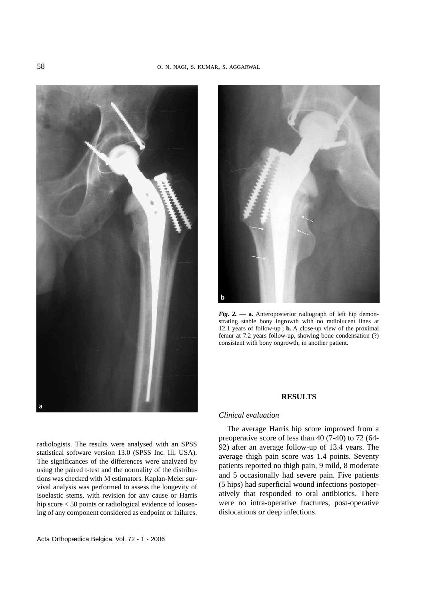



*Fig. 2.* — **a.** Anteroposterior radiograph of left hip demonstrating stable bony ingrowth with no radiolucent lines at 12.1 years of follow-up ; **b.** A close-up view of the proximal femur at 7.2 years follow-up, showing bone condensation (?) consistent with bony ongrowth, in another patient.

## **RESULTS**

#### *Clinical evaluation*

The average Harris hip score improved from a preoperative score of less than 40 (7-40) to 72 (64- 92) after an average follow-up of 13.4 years. The average thigh pain score was 1.4 points. Seventy patients reported no thigh pain, 9 mild, 8 moderate and 5 occasionally had severe pain. Five patients (5 hips) had superficial wound infections postoperatively that responded to oral antibiotics. There were no intra-operative fractures, post-operative dislocations or deep infections.

radiologists. The results were analysed with an SPSS statistical software version 13.0 (SPSS Inc. Ill, USA). The significances of the differences were analyzed by using the paired t-test and the normality of the distributions was checked with M estimators. Kaplan-Meier survival analysis was performed to assess the longevity of isoelastic stems, with revision for any cause or Harris hip score < 50 points or radiological evidence of loosening of any component considered as endpoint or failures.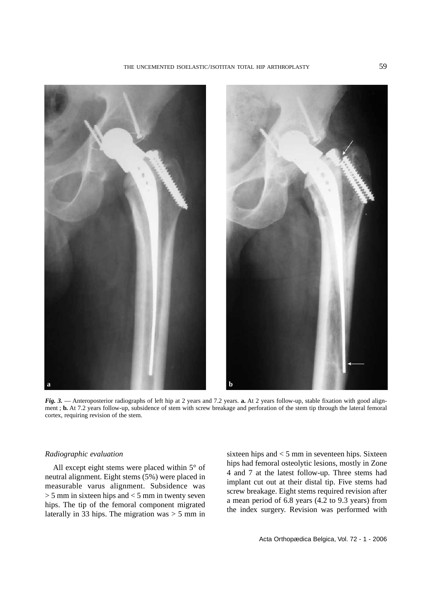



*Fig. 3.* — Anteroposterior radiographs of left hip at 2 years and 7.2 years. **a.** At 2 years follow-up, stable fixation with good alignment ; **b.** At 7.2 years follow-up, subsidence of stem with screw breakage and perforation of the stem tip through the lateral femoral cortex, requiring revision of the stem.

# *Radiographic evaluation*

All except eight stems were placed within 5° of neutral alignment. Eight stems (5%) were placed in measurable varus alignment. Subsidence was  $> 5$  mm in sixteen hips and  $< 5$  mm in twenty seven hips. The tip of the femoral component migrated laterally in 33 hips. The migration was  $> 5$  mm in sixteen hips and < 5 mm in seventeen hips. Sixteen hips had femoral osteolytic lesions, mostly in Zone 4 and 7 at the latest follow-up. Three stems had implant cut out at their distal tip. Five stems had screw breakage. Eight stems required revision after a mean period of 6.8 years (4.2 to 9.3 years) from the index surgery. Revision was performed with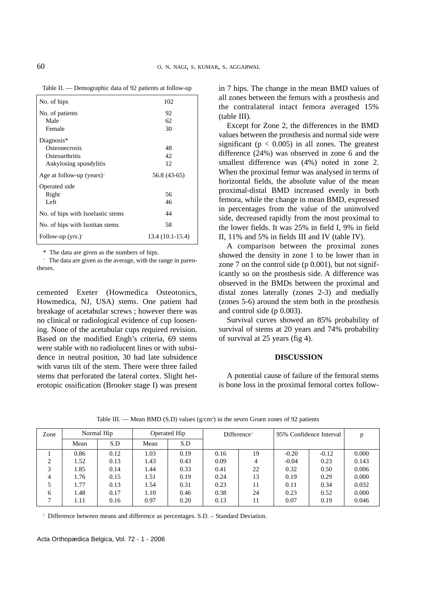| No. of hips                           | 102              |
|---------------------------------------|------------------|
| No. of patients                       | 92               |
| Male                                  | 62               |
| Female                                | 30               |
| Diagnosis*                            |                  |
| Osteonecrosis                         | 48               |
| Osteoarthritis                        | 42               |
| Ankylosing spondylitis                | 12               |
| Age at follow-up (years) <sup>+</sup> | 56.8 (43-65)     |
| Operated side                         |                  |
| Right                                 | 56               |
| Left                                  | 46               |
| No. of hips with Isoelastic stems     | 44               |
| No. of hips with Isotitan stems       | 58               |
| Follow-up $(yrs.)^+$                  | 13.4 (10.1-15.4) |

Table II. — Demographic data of 92 patients at follow-up

\* The data are given as the numbers of hips.

+ The data are given as the average, with the range in parentheses.

cemented Exeter (Howmedica Osteotonics, Howmedica, NJ, USA) stems. One patient had breakage of acetabular screws ; however there was no clinical or radiological evidence of cup loosening. None of the acetabular cups required revision. Based on the modified Engh's criteria, 69 stems were stable with no radiolucent lines or with subsidence in neutral position, 30 had late subsidence with varus tilt of the stem. There were three failed stems that perforated the lateral cortex. Slight heterotopic ossification (Brooker stage I) was present in 7 hips. The change in the mean BMD values of all zones between the femurs with a prosthesis and the contralateral intact femora averaged 15% (table III).

Except for Zone 2, the differences in the BMD values between the prosthesis and normal side were significant ( $p < 0.005$ ) in all zones. The greatest difference (24%) was observed in zone 6 and the smallest difference was (4%) noted in zone 2. When the proximal femur was analysed in terms of horizontal fields, the absolute value of the mean proximal-distal BMD increased evenly in both femora, while the change in mean BMD, expressed in percentages from the value of the uninvolved side, decreased rapidly from the most proximal to the lower fields. It was 25% in field I, 9% in field II, 11% and 5% in fields III and IV (table IV).

A comparison between the proximal zones showed the density in zone 1 to be lower than in zone 7 on the control side (p 0.001), but not significantly so on the prosthesis side. A difference was observed in the BMDs between the proximal and distal zones laterally (zones 2-3) and medially (zones 5-6) around the stem both in the prosthesis and control side (p 0.003).

Survival curves showed an 85% probability of survival of stems at 20 years and 74% probability of survival at 25 years (fig 4).

### **DISCUSSION**

A potential cause of failure of the femoral stems is bone loss in the proximal femoral cortex follow-

| Zone | Normal Hip |      | Operated Hip |      | Difference <sup>1</sup> |                          | 95% Confidence Interval |         |       |
|------|------------|------|--------------|------|-------------------------|--------------------------|-------------------------|---------|-------|
|      | Mean       | S.D  | Mean         | S.D  |                         |                          |                         |         |       |
|      | 0.86       | 0.12 | 1.03         | 0.19 | 0.16                    | 19                       | $-0.20$                 | $-0.12$ | 0.000 |
| 2    | 1.52       | 0.13 | 1.43         | 0.43 | 0.09                    | $\overline{\mathcal{A}}$ | $-0.04$                 | 0.23    | 0.143 |
| 3    | 1.85       | 0.14 | 1.44         | 0.33 | 0.41                    | 22                       | 0.32                    | 0.50    | 0.006 |
| 4    | 1.76       | 0.15 | 1.51         | 0.19 | 0.24                    | 13                       | 0.19                    | 0.29    | 0.000 |
|      | l.77       | 0.13 | 1.54         | 0.31 | 0.23                    | 11                       | 0.11                    | 0.34    | 0.032 |
| 6    | 1.48       | 0.17 | 1.10         | 0.46 | 0.38                    | 24                       | 0.23                    | 0.52    | 0.000 |
|      | 1.11       | 0.16 | 0.97         | 0.20 | 0.13                    | 11                       | 0.07                    | 0.19    | 0.046 |
|      |            |      |              |      |                         |                          |                         |         |       |

Table III. — Mean BMD (S.D) values  $(g/cm^2)$  in the seven Gruen zones of 92 patients

<sup>1</sup> Difference between means and difference as percentages. S.D. - Standard Deviation.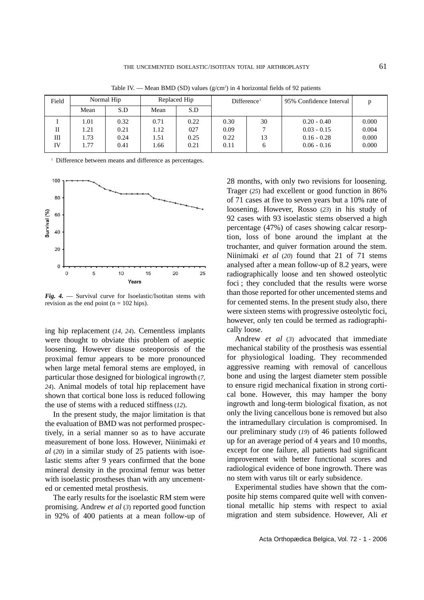| Field |      | Normal Hip |      | Replaced Hip | Difference <sup>1</sup> |    | 95% Confidence Interval |       |
|-------|------|------------|------|--------------|-------------------------|----|-------------------------|-------|
|       | Mean | S.D        | Mean | S.D          |                         |    |                         |       |
|       | 1.01 | 0.32       | 0.71 | 0.22         | 0.30                    | 30 | $0.20 - 0.40$           | 0.000 |
| П     | l.21 | 0.21       | 1.12 | 027          | 0.09                    |    | $0.03 - 0.15$           | 0.004 |
| Ш     | 1.73 | 0.24       | 1.51 | 0.25         | 0.22                    | 13 | $0.16 - 0.28$           | 0.000 |
| IV    | 1.77 | 0.41       | 1.66 | 0.21         | 0.11                    | 6  | $0.06 - 0.16$           | 0.000 |

Table IV. — Mean BMD (SD) values  $(g/cm^2)$  in 4 horizontal fields of 92 patients

<sup>1</sup> Difference between means and difference as percentages.



*Fig. 4.* — Survival curve for Isoelastic/Isotitan stems with revision as the end point ( $n = 102$  hips).

ing hip replacement (*14, 24*). Cementless implants were thought to obviate this problem of aseptic loosening. However disuse osteoporosis of the proximal femur appears to be more pronounced when large metal femoral stems are employed, in particular those designed for biological ingrowth (*7, 24*). Animal models of total hip replacement have shown that cortical bone loss is reduced following the use of stems with a reduced stiffness (*12*).

In the present study, the major limitation is that the evaluation of BMD was not performed prospectively, in a serial manner so as to have accurate measurement of bone loss. However, Niinimaki *et al* (*20*) in a similar study of 25 patients with isoelastic stems after 9 years confirmed that the bone mineral density in the proximal femur was better with isoelastic prostheses than with any uncemented or cemented metal prosthesis.

The early results for the isoelastic RM stem were promising. Andrew *et al* (*3*) reported good function in 92% of 400 patients at a mean follow-up of 28 months, with only two revisions for loosening. Trager (*25*) had excellent or good function in 86% of 71 cases at five to seven years but a 10% rate of loosening. However, Rosso (*23*) in his study of 92 cases with 93 isoelastic stems observed a high percentage (47%) of cases showing calcar resorption, loss of bone around the implant at the trochanter, and quiver formation around the stem. Niinimaki *et al* (*20*) found that 21 of 71 stems analysed after a mean follow-up of 8.2 years, were radiographically loose and ten showed osteolytic foci ; they concluded that the results were worse than those reported for other uncemented stems and for cemented stems. In the present study also, there were sixteen stems with progressive osteolytic foci, however, only ten could be termed as radiographically loose.

Andrew *et al* (*3*) advocated that immediate mechanical stability of the prosthesis was essential for physiological loading. They recommended aggressive reaming with removal of cancellous bone and using the largest diameter stem possible to ensure rigid mechanical fixation in strong cortical bone. However, this may hamper the bony ingrowth and long-term biological fixation, as not only the living cancellous bone is removed but also the intramedullary circulation is compromised. In our preliminary study (*19*) of 46 patients followed up for an average period of 4 years and 10 months, except for one failure, all patients had significant improvement with better functional scores and radiological evidence of bone ingrowth. There was no stem with varus tilt or early subsidence.

Experimental studies have shown that the composite hip stems compared quite well with conventional metallic hip stems with respect to axial migration and stem subsidence. However, Ali *et*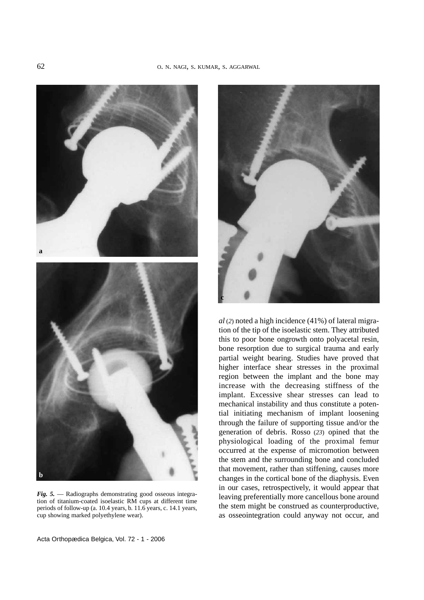

*Fig. 5.* — Radiographs demonstrating good osseous integration of titanium-coated isoelastic RM cups at different time periods of follow-up (a. 10.4 years, b. 11.6 years, c. 14.1 years, cup showing marked polyethylene wear).



*al* (*2*) noted a high incidence (41%) of lateral migration of the tip of the isoelastic stem. They attributed this to poor bone ongrowth onto polyacetal resin, bone resorption due to surgical trauma and early partial weight bearing. Studies have proved that higher interface shear stresses in the proximal region between the implant and the bone may increase with the decreasing stiffness of the implant. Excessive shear stresses can lead to mechanical instability and thus constitute a potential initiating mechanism of implant loosening through the failure of supporting tissue and/or the generation of debris. Rosso (*23*) opined that the physiological loading of the proximal femur occurred at the expense of micromotion between the stem and the surrounding bone and concluded that movement, rather than stiffening, causes more changes in the cortical bone of the diaphysis. Even in our cases, retrospectively, it would appear that leaving preferentially more cancellous bone around the stem might be construed as counterproductive, as osseointegration could anyway not occur, and

Acta Orthopædica Belgica, Vol. 72 - 1 - 2006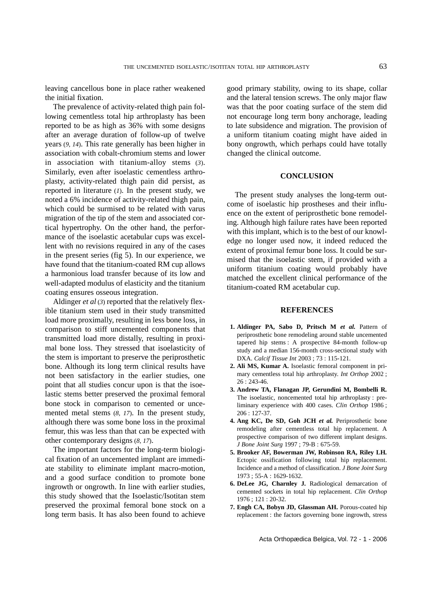leaving cancellous bone in place rather weakened the initial fixation.

The prevalence of activity-related thigh pain following cementless total hip arthroplasty has been reported to be as high as 36% with some designs after an average duration of follow-up of twelve years (*9, 14*). This rate generally has been higher in association with cobalt-chromium stems and lower in association with titanium-alloy stems (*3*). Similarly, even after isoelastic cementless arthroplasty, activity-related thigh pain did persist, as reported in literature (*1*). In the present study, we noted a 6% incidence of activity-related thigh pain, which could be surmised to be related with varus migration of the tip of the stem and associated cortical hypertrophy. On the other hand, the performance of the isoelastic acetabular cups was excellent with no revisions required in any of the cases in the present series (fig 5). In our experience, we have found that the titanium-coated RM cup allows a harmonious load transfer because of its low and well-adapted modulus of elasticity and the titanium coating ensures osseous integration.

Aldinger *et al* (*3*) reported that the relatively flexible titanium stem used in their study transmitted load more proximally, resulting in less bone loss, in comparison to stiff uncemented components that transmitted load more distally, resulting in proximal bone loss. They stressed that isoelasticity of the stem is important to preserve the periprosthetic bone. Although its long term clinical results have not been satisfactory in the earlier studies, one point that all studies concur upon is that the isoelastic stems better preserved the proximal femoral bone stock in comparison to cemented or uncemented metal stems (*8, 17*). In the present study, although there was some bone loss in the proximal femur, this was less than that can be expected with other contemporary designs (*8, 17*).

The important factors for the long-term biological fixation of an uncemented implant are immediate stability to eliminate implant macro-motion, and a good surface condition to promote bone ingrowth or ongrowth. In line with earlier studies, this study showed that the Isoelastic/Isotitan stem preserved the proximal femoral bone stock on a long term basis. It has also been found to achieve good primary stability, owing to its shape, collar and the lateral tension screws. The only major flaw was that the poor coating surface of the stem did not encourage long term bony anchorage, leading to late subsidence and migration. The provision of a uniform titanium coating might have aided in bony ongrowth, which perhaps could have totally changed the clinical outcome.

# **CONCLUSION**

The present study analyses the long-term outcome of isoelastic hip prostheses and their influence on the extent of periprosthetic bone remodeling. Although high failure rates have been reported with this implant, which is to the best of our knowledge no longer used now, it indeed reduced the extent of proximal femur bone loss. It could be surmised that the isoelastic stem, if provided with a uniform titanium coating would probably have matched the excellent clinical performance of the titanium-coated RM acetabular cup.

## **REFERENCES**

- **1. Aldinger PA, Sabo D, Pritsch M** *et al.* Pattern of periprosthetic bone remodeling around stable uncemented tapered hip stems : A prospective 84-month follow-up study and a median 156-month cross-sectional study with DXA. *Calcif Tissue Int* 2003 ; 73 : 115-121.
- **2. Ali MS, Kumar A.** Isoelastic femoral component in primary cementless total hip arthroplasty. *Int Orthop* 2002 ;  $26 : 243 - 46$ .
- **3. Andrew TA, Flanagan JP, Gerundini M, Bombelli R***.* The isoelastic, noncemented total hip arthroplasty : preliminary experience with 400 cases. *Clin Orthop* 1986 ; 206 : 127-37.
- **4. Ang KC, De SD, Goh JCH** *et al.* Periprosthetic bone remodeling after cementless total hip replacement. A prospective comparison of two different implant designs. *J Bone Joint Surg* 1997 ; 79-B : 675-59.
- **5. Brooker AF, Bowerman JW, Robinson RA, Riley LH***.* Ectopic ossification following total hip replacement. Incidence and a method of classification. *J Bone Joint Surg* 1973 ; 55-A : 1629-1632.
- **6. DeLee JG, Charnley J.** Radiological demarcation of cemented sockets in total hip replacement. *Clin Orthop* 1976 ; 121 : 20-32.
- **7. Engh CA, Bobyn JD, Glassman AH.** Porous-coated hip replacement : the factors governing bone ingrowth, stress

Acta Orthopædica Belgica, Vol. 72 - 1 - 2006